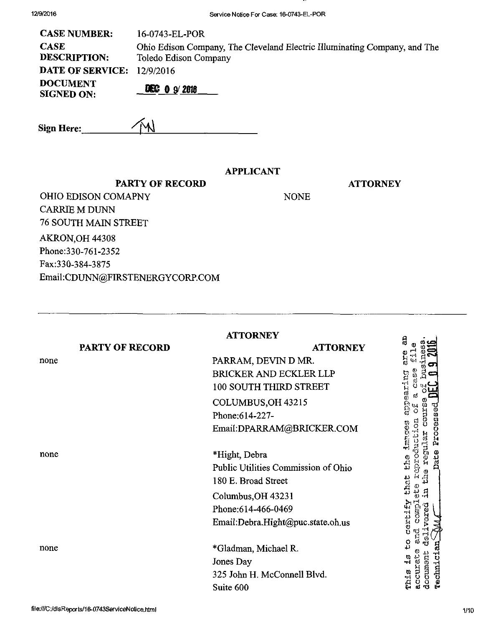| 12/9/2016 |  |
|-----------|--|
|-----------|--|

| <b>CASE NUMBER:</b>                  | 16-0743-EL-POR                                                                                     |
|--------------------------------------|----------------------------------------------------------------------------------------------------|
| <b>CASE</b><br><b>DESCRIPTION:</b>   | Ohio Edison Company, The Cleveland Electric Illuminating Company, and The<br>Toledo Edison Company |
| <b>DATE OF SERVICE: 12/9/2016</b>    |                                                                                                    |
| <b>DOCUMENT</b><br><b>SIGNED ON:</b> | $DEC = 0$ 9/2018                                                                                   |

Sign Here: 4

### APPLICANT

**ATTORNEY** 

PARTY OF RECORD

NONE

OHIO EDISON COMAPNY CARRIE M DUNN 76 SOUTH MAIN STREET AKRON,OH 44308 Phone:330-761-2352 Fax:330-384-3875 Email:[CDUNN@FIRSTENERGYCORP.COM](mailto:CDUNN@FIRSTENERGYCORP.COM) 

|      |                 | <b>ATTORNEY</b>                     | a                          |
|------|-----------------|-------------------------------------|----------------------------|
|      | PARTY OF RECORD | <b>ATTORNEY</b>                     |                            |
| none |                 | PARRAM, DEVIN D MR.                 | រ<br>ស                     |
|      |                 | <b>BRICKER AND ECKLER LLP</b>       |                            |
|      |                 | 100 SOUTH THIRD STREET              | earing                     |
|      |                 | COLUMBUS, OH 43215                  |                            |
|      |                 | Phone: 614-227-                     |                            |
|      |                 | Email:DPARRAM@BRICKER.COM           | Processed                  |
| none |                 | *Hight, Debra                       | Date                       |
|      |                 | Public Utilities Commission of Ohio | بر<br>نا                   |
|      |                 | 180 E. Broad Street                 | 255                        |
|      |                 | Columbus, OH 43231                  |                            |
|      |                 | Phone: 614-466-0469                 | ្លូ                        |
|      |                 | Email:Debra.Hight@puc.state.oh.us   | יי<br>גו<br>גו<br>ë        |
| none |                 | *Gladman, Michael R.                | ပ္ပ<br>đ                   |
|      |                 | Jones Day                           |                            |
|      |                 | 325 John H. McConnell Blvd.         | rechnici<br>documen<br>mia |
|      |                 | Suite 600                           |                            |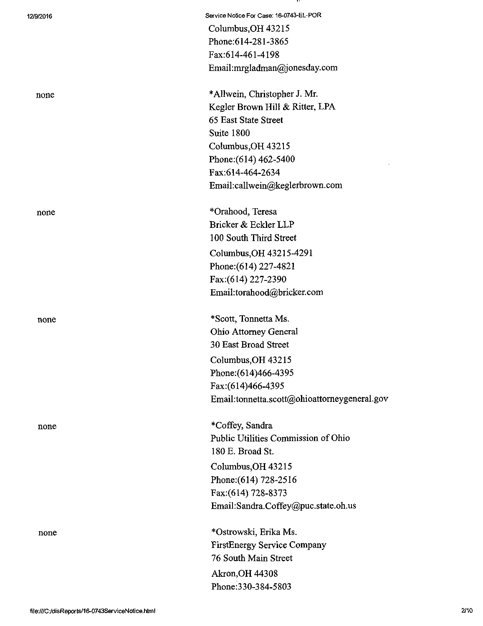| 12/9/2016 | Service Notice For Case: 16-0743-EL-POR      |
|-----------|----------------------------------------------|
|           | Columbus, OH 43215                           |
|           | Phone: 614-281-3865                          |
|           | Fax:614-461-4198                             |
|           | Email:mrgladman@jonesday.com                 |
| none      | *Allwein, Christopher J. Mr.                 |
|           | Kegler Brown Hill & Ritter, LPA              |
|           | 65 East State Street                         |
|           | Suite 1800                                   |
|           | Columbus, OH 43215                           |
|           | Phone: (614) 462-5400                        |
|           | Fax:614-464-2634                             |
|           | Email:callwein@keglerbrown.com               |
| none      | *Orahood, Teresa                             |
|           | Bricker & Eckler LLP                         |
|           | 100 South Third Street                       |
|           | Columbus, OH 43215-4291                      |
|           | Phone: (614) 227-4821                        |
|           | Fax: (614) 227-2390                          |
|           | Email:torahood@bricker.com                   |
| none      | *Scott, Tonnetta Ms.                         |
|           | Ohio Attorney General                        |
|           | 30 East Broad Street                         |
|           | Columbus, OH 43215                           |
|           | Phone: (614)466-4395                         |
|           | Fax:(614)466-4395                            |
|           | Email:tonnetta.scott@ohioattorneygeneral.gov |
| none      | *Coffey, Sandra                              |
|           | Public Utilities Commission of Ohio          |
|           | 180 E. Broad St.                             |
|           | Columbus, OH 43215                           |
|           | Phone: (614) 728-2516                        |
|           | Fax:(614) 728-8373                           |
|           | Email:Sandra.Coffey@puc.state.oh.us          |
| none      | *Ostrowski, Erika Ms.                        |
|           | <b>FirstEnergy Service Company</b>           |
|           | 76 South Main Street                         |
|           | <b>Akron, OH 44308</b>                       |
|           | Phone: 330-384-5803                          |
|           |                                              |

ш.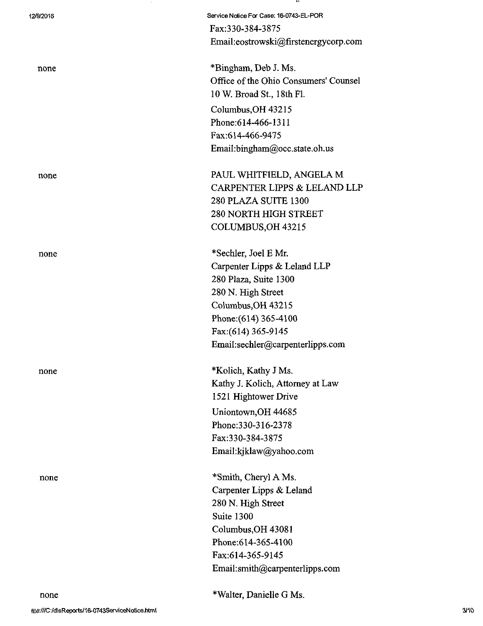| 12/9/2016 | Service Notice For Case: 16-0743-EL-POR |
|-----------|-----------------------------------------|
|           | Fax:330-384-3875                        |
|           | Email:eostrowski@firstenergycorp.com    |
| none      | *Bingham, Deb J. Ms.                    |
|           | Office of the Ohio Consumers' Counsel   |
|           | 10 W. Broad St., 18th Fl.               |
|           | Columbus, OH 43215                      |
|           | Phone: 614-466-1311                     |
|           | Fax:614-466-9475                        |
|           | Email:bingham@occ.state.oh.us           |
| none      | PAUL WHITFIELD, ANGELA M                |
|           | CARPENTER LIPPS & LELAND LLP            |
|           | 280 PLAZA SUITE 1300                    |
|           | <b>280 NORTH HIGH STREET</b>            |
|           | COLUMBUS, OH 43215                      |
| none      | *Sechler, Joel E Mr.                    |
|           | Carpenter Lipps & Leland LLP            |
|           | 280 Plaza, Suite 1300                   |
|           | 280 N. High Street                      |
|           | Columbus, OH 43215                      |
|           | Phone: (614) 365-4100                   |
|           | Fax: (614) 365-9145                     |
|           | Email:sechler@carpenterlipps.com        |
| none      | *Kolich, Kathy J Ms.                    |
|           | Kathy J. Kolich, Attorney at Law        |
|           | 1521 Hightower Drive                    |
|           | Uniontown, OH 44685                     |
|           | Phone: 330-316-2378                     |
|           | Fax:330-384-3875                        |
|           | Email:kjklaw@yahoo.com                  |
| none      | *Smith, Cheryl A Ms.                    |
|           | Carpenter Lipps & Leland                |
|           | 280 N. High Street                      |
|           | Suite 1300                              |
|           | Columbus, OH 43081                      |
|           | Phone: 614-365-4100                     |
|           | Fax:614-365-9145                        |
|           | Email:smith@carpenterlipps.com          |
|           |                                         |

. .

\*Walter, Danielle G Ms.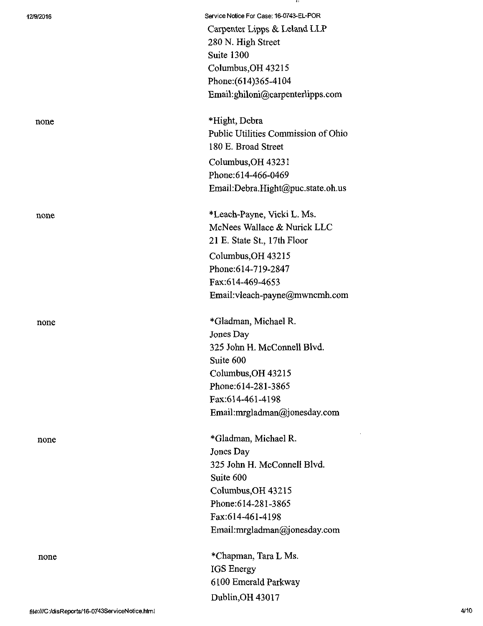| 12/9/2016 | Service Notice For Case: 16-0743-EL-POR<br>Carpenter Lipps & Leland LLP |
|-----------|-------------------------------------------------------------------------|
|           | 280 N. High Street                                                      |
|           | Suite 1300                                                              |
|           | Columbus, OH 43215                                                      |
|           | Phone: (614)365-4104                                                    |
|           | Email:ghiloni@carpenterlipps.com                                        |
|           |                                                                         |
| none      | *Hight, Debra                                                           |
|           | Public Utilities Commission of Ohio                                     |
|           | 180 E. Broad Street                                                     |
|           | Columbus, OH 43231                                                      |
|           | Phone: 614-466-0469                                                     |
|           | Email:Debra.Hight@puc.state.oh.us                                       |
| none      | *Leach-Payne, Vicki L. Ms.                                              |
|           | McNees Wallace & Nurick LLC                                             |
|           | 21 E. State St., 17th Floor                                             |
|           | Columbus, OH 43215                                                      |
|           | Phone:614-719-2847                                                      |
|           | Fax:614-469-4653                                                        |
|           |                                                                         |
|           | Email:vleach-payne@mwncmh.com                                           |
| none      | *Gladman, Michael R.                                                    |
|           | Jones Day                                                               |
|           | 325 John H. McConnell Blvd.                                             |
|           | Suite 600                                                               |
|           | Columbus, OH 43215                                                      |
|           | Phone: 614-281-3865                                                     |
|           | Fax:614-461-4198                                                        |
|           | Email:mrgladman@jonesday.com                                            |
| none      | *Gladman, Michael R.                                                    |
|           | Jones Day                                                               |
|           | 325 John H. McConnell Blvd.                                             |
|           | Suite 600                                                               |
|           | Columbus, OH 43215                                                      |
|           | Phone: 614-281-3865                                                     |
|           | Fax:614-461-4198                                                        |
|           | Email:mrgladman@jonesday.com                                            |
| none      | *Chapman, Tara L Ms.                                                    |
|           | <b>IGS</b> Energy                                                       |
|           | 6100 Emerald Parkway                                                    |

 $\sim 10$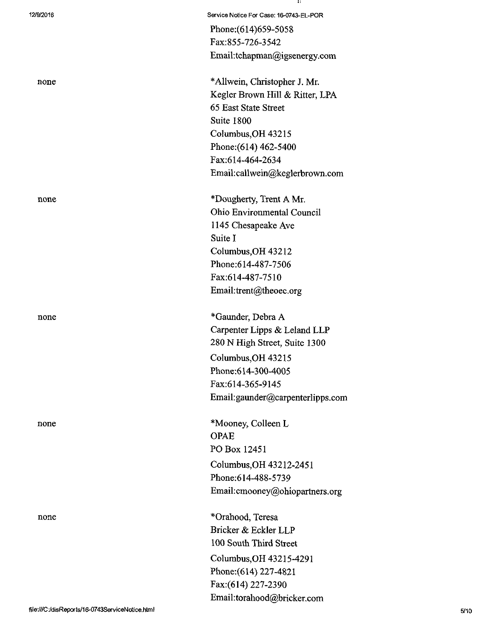| 12/9/2016 | Service Notice For Case: 16-0743-EL-POR |
|-----------|-----------------------------------------|
|           | Phone: (614) 659-5058                   |
|           | Fax:855-726-3542                        |
|           | Email:tchapman@igsenergy.com            |
| none      | *Allwein, Christopher J. Mr.            |
|           | Kegler Brown Hill & Ritter, LPA         |
|           | 65 East State Street                    |
|           | Suite 1800                              |
|           | Columbus, OH 43215                      |
|           | Phone: (614) 462-5400                   |
|           | Fax:614-464-2634                        |
|           | Email:callwein@keglerbrown.com          |
| none      | *Dougherty, Trent A Mr.                 |
|           | Ohio Environmental Council              |
|           | 1145 Chesapeake Ave                     |
|           | Suite I                                 |
|           | Columbus, OH 43212                      |
|           | Phone:614-487-7506                      |
|           | Fax:614-487-7510                        |
|           | Email:trent@theoec.org                  |
|           |                                         |
| none      | *Gaunder, Debra A                       |
|           | Carpenter Lipps & Leland LLP            |
|           | 280 N High Street, Suite 1300           |
|           | Columbus, OH 43215                      |
|           | Phone: 614-300-4005                     |
|           | Fax:614-365-9145                        |
|           | Email:gaunder@carpenterlipps.com        |
| none      | *Mooney, Colleen L                      |
|           | <b>OPAE</b>                             |
|           | PO Box 12451                            |
|           | Columbus, OH 43212-2451                 |
|           | Phone:614-488-5739                      |
|           | Email: cmooney@ohiopartners.org         |
| none      | *Orahood, Teresa                        |
|           | Bricker & Eckler LLP                    |
|           | 100 South Third Street                  |
|           | Columbus, OH 43215-4291                 |
|           | Phone: (614) 227-4821                   |
|           | Fax:(614) 227-2390                      |

 $\mathbf{a}$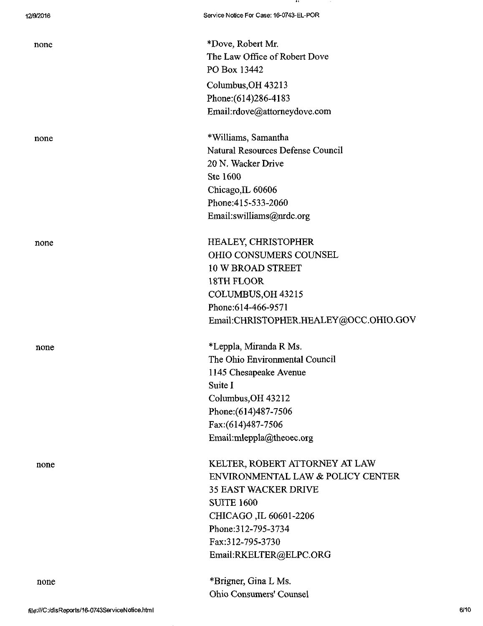none

none  $*$ Dove, Robert Mr. The Law Office of Robert Dove PO Box 13442 Columbus,OH 43213 Phone:(614)286-4183 Email:[rdove@attomeydove.com](mailto:rdove@attomeydove.com) 

none \*Williams, Samantha Natural Resources Defense Council 20 N.Wacker Drive Ste 1600 Chicago,IL 60606 Phone:415-533-2060 Email:[swilliams@nrdc.org](mailto:swilliams@nrdc.org) 

none HEALEY, CHRISTOPHER OHIO CONSUMERS COUNSEL 10 W BROAD STREET 18TH FLOOR COLUMBUS,OH 43215 Phone:614-466-9571 Email:[CHRISTOPHER.HEALEY@OCC.OHIO.GOV](mailto:CHRISTOPHER.HEALEY@OCC.OHIO.GOV) 

none \*Leppla, Miranda R Ms. The Ohio Environmental Council 1145 Chesapeake Avenue Suite I Columbus,OH 43212 Phone:(614)487-7506 Fax:(614)487-7506 Email:[mleppla@theoec.org](mailto:mleppla@theoec.org) 

none KELTER, ROBERT ATTORNEY AT LAW ENVIRONMENTAL LAW & POLICY CENTER 35 EAST WACKER DRIVE SUITE 1600 CHICAGO ,IL 60601-2206 Phone:312-795-3734 Fax:312-795-3730 Email:[RKELTER@ELPC.ORG](mailto:RKELTER@ELPC.ORG) 

> \*Brigner, Gina L Ms. Ohio Consumers' Counsel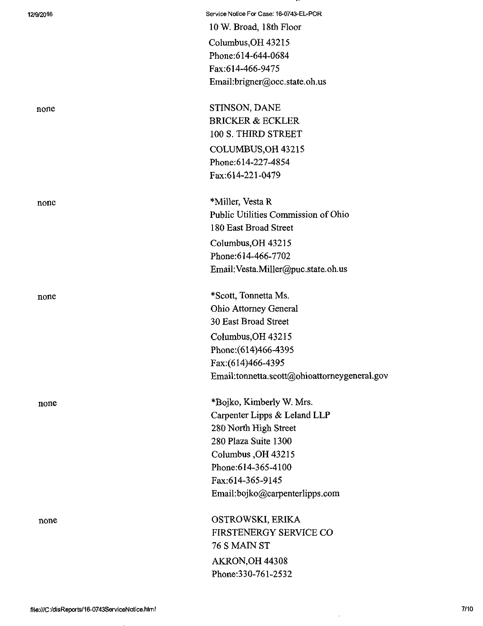| 12/9/2016 | Service Notice For Case: 16-0743-EL-POR      |
|-----------|----------------------------------------------|
|           | 10 W. Broad, 18th Floor                      |
|           | Columbus, OH 43215                           |
|           | Phone: 614-644-0684                          |
|           | Fax:614-466-9475                             |
|           | Email:brigner@occ.state.oh.us                |
| none      | STINSON, DANE                                |
|           | <b>BRICKER &amp; ECKLER</b>                  |
|           | 100 S. THIRD STREET                          |
|           | COLUMBUS, OH 43215                           |
|           | Phone: 614-227-4854                          |
|           | Fax:614-221-0479                             |
| none      | *Miller, Vesta R                             |
|           | Public Utilities Commission of Ohio          |
|           | 180 East Broad Street                        |
|           | Columbus, OH 43215                           |
|           | Phone: 614-466-7702                          |
|           | Email: Vesta.Miller@puc.state.oh.us          |
| none      | *Scott, Tonnetta Ms.                         |
|           | Ohio Attorney General                        |
|           | 30 East Broad Street                         |
|           | Columbus, OH 43215                           |
|           | Phone: (614)466-4395                         |
|           | Fax:(614)466-4395                            |
|           | Email:tonnetta.scott@ohioattorneygeneral.gov |
| none      | *Bojko, Kimberly W. Mrs.                     |
|           | Carpenter Lipps & Leland LLP                 |
|           | 280 North High Street                        |
|           | 280 Plaza Suite 1300                         |
|           | Columbus, OH 43215                           |
|           | Phone: 614-365-4100                          |
|           | Fax:614-365-9145                             |
|           | Email:bojko@carpenterlipps.com               |
| none      | OSTROWSKI, ERIKA                             |
|           | FIRSTENERGY SERVICE CO                       |
|           | 76 S MAIN ST                                 |
|           | AKRON, OH 44308                              |
|           | Phone: 330-761-2532                          |
|           |                                              |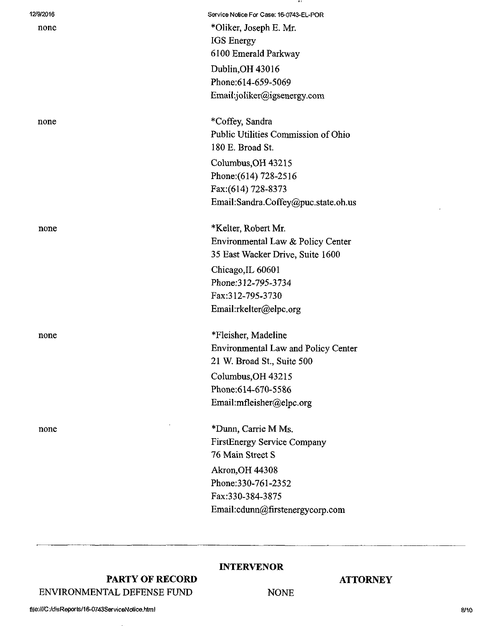| 12/9/2016 | Service Notice For Case: 16-0743-EL-POR    |
|-----------|--------------------------------------------|
| none      | *Oliker, Joseph E. Mr.                     |
|           | <b>IGS</b> Energy                          |
|           | 6100 Emerald Parkway                       |
|           | Dublin, OH 43016                           |
|           | Phone:614-659-5069                         |
|           | Email:joliker@igsenergy.com                |
| none      | *Coffey, Sandra                            |
|           | Public Utilities Commission of Ohio        |
|           | 180 E. Broad St.                           |
|           | Columbus, OH 43215                         |
|           | Phone: (614) 728-2516                      |
|           | Fax:(614) 728-8373                         |
|           | Email:Sandra.Coffey@puc.state.oh.us        |
| none      | *Kelter, Robert Mr.                        |
|           | Environmental Law & Policy Center          |
|           | 35 East Wacker Drive, Suite 1600           |
|           | Chicago, IL 60601                          |
|           | Phone: 312-795-3734                        |
|           | Fax:312-795-3730                           |
|           | Email:rkelter@elpc.org                     |
| none      | *Fleisher, Madeline                        |
|           | <b>Environmental Law and Policy Center</b> |
|           | 21 W. Broad St., Suite 500                 |
|           | Columbus, OH 43215                         |
|           | Phone: 614-670-5586                        |
|           | Email:mfleisher@elpc.org                   |
| none      | *Dunn, Carrie M Ms.                        |
|           | <b>FirstEnergy Service Company</b>         |
|           | 76 Main Street S                           |
|           | <b>Akron, OH 44308</b>                     |
|           | Phone: 330-761-2352                        |
|           | Fax:330-384-3875                           |
|           | Email:cdunn@firstenergycorp.com            |
|           |                                            |

PARTY OF RECORD ENVIRONMENTAL DEFENSE FUND

## INTERVENOR

NONE

### **ATTORNEY**

fi|e:///C :/disReports/16-0743ServiceNotice.htm I

 $\overline{a}$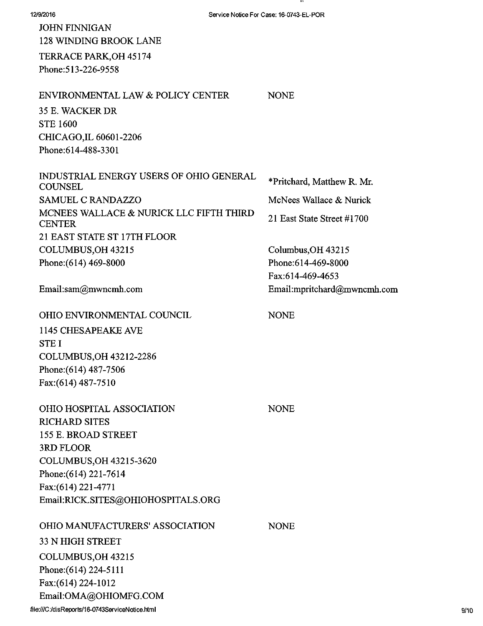| 12/9/2016                                                 | Service Notice For Case: 16-0743-EL-POR |
|-----------------------------------------------------------|-----------------------------------------|
| <b>JOHN FINNIGAN</b>                                      |                                         |
| <b>128 WINDING BROOK LANE</b>                             |                                         |
| TERRACE PARK, OH 45174                                    |                                         |
| Phone: 513-226-9558                                       |                                         |
| ENVIRONMENTAL LAW & POLICY CENTER                         | <b>NONE</b>                             |
| 35 E. WACKER DR                                           |                                         |
| <b>STE 1600</b>                                           |                                         |
| CHICAGO, IL 60601-2206                                    |                                         |
| Phone: 614-488-3301                                       |                                         |
| INDUSTRIAL ENERGY USERS OF OHIO GENERAL<br><b>COUNSEL</b> | *Pritchard, Matthew R. Mr.              |
| <b>SAMUEL C RANDAZZO</b>                                  | McNees Wallace & Nurick                 |
| MCNEES WALLACE & NURICK LLC FIFTH THIRD<br><b>CENTER</b>  | 21 East State Street #1700              |
| 21 EAST STATE ST 17TH FLOOR                               |                                         |
| COLUMBUS, OH 43215                                        | Columbus, OH 43215                      |
| Phone: (614) 469-8000                                     | Phone: 614-469-8000                     |
|                                                           | Fax:614-469-4653                        |
| Email:sam@mwncmh.com                                      | Email:mpritchard@mwncmh.com             |
| OHIO ENVIRONMENTAL COUNCIL                                | <b>NONE</b>                             |
| 1145 CHESAPEAKE AVE                                       |                                         |
| <b>STEI</b>                                               |                                         |
| COLUMBUS, OH 43212-2286                                   |                                         |
| Phone: (614) 487-7506                                     |                                         |
| Fax:(614) 487-7510                                        |                                         |
| OHIO HOSPITAL ASSOCIATION                                 | <b>NONE</b>                             |
| <b>RICHARD SITES</b>                                      |                                         |
| 155 E. BROAD STREET                                       |                                         |
| 3RD FLOOR                                                 |                                         |
| COLUMBUS, OH 43215-3620                                   |                                         |
| Phone: (614) 221-7614                                     |                                         |
| Fax:(614) 221-4771                                        |                                         |
| Email:RICK.SITES@OHIOHOSPITALS.ORG                        |                                         |
| OHIO MANUFACTURERS' ASSOCIATION                           | <b>NONE</b>                             |
| <b>33 N HIGH STREET</b>                                   |                                         |
| COLUMBUS, OH 43215                                        |                                         |
| Phone: (614) 224-5111                                     |                                         |
| Fax:(614) 224-1012                                        |                                         |
| Email:OMA@OHIOMFG.COM                                     |                                         |

 $\mathbf{u}$